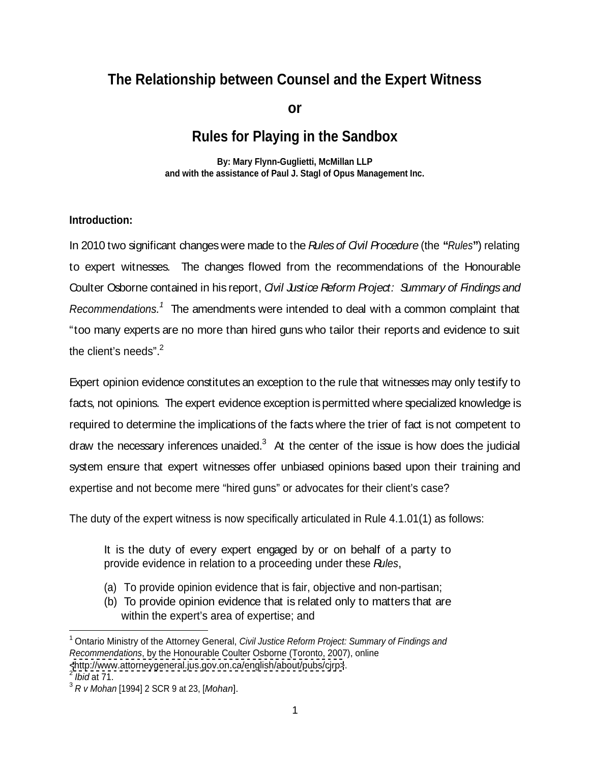# **The Relationship between Counsel and the Expert Witness**

**or**

## **Rules for Playing in the Sandbox**

**By: Mary Flynn-Guglietti, McMillan LLP and with the assistance of Paul J. Stagl of Opus Management Inc.** 

#### **Introduction:**

In 2010 two significant changeswere made to the Rules of Civil Procedure (the **"**Rules**"**) relating to expert witnesses. The changes flowed from the recommendations of the Honourable Coulter Osborne contained in his report, *Qvil Justice Reform Project: Summary of Findings and* Recommendations.<sup>1</sup> The amendments were intended to deal with a common complaint that "too many experts are no more than hired guns who tailor their reports and evidence to suit the client's needs". $^2$ 

Expert opinion evidence constitutes an exception to the rule that witnesses may only testify to facts, not opinions. The expert evidence exception ispermitted where specialized knowledge is required to determine the implications of the facts where the trier of fact is not competent to draw the necessary inferences unaided. $3$  At the center of the issue is how does the judicial system ensure that expert witnesses offer unbiased opinions based upon their training and expertise and not become mere "hired guns" or advocates for their client's case?

The duty of the expert witness is now specifically articulated in Rule 4.1.01(1) as follows:

It is the duty of every expert engaged by or on behalf of a party to provide evidence in relation to a proceeding under these Rules,

- (a) To provide opinion evidence that is fair, objective and non-partisan;
- (b) To provide opinion evidence that is related only to matters that are within the expert's area of expertise; and

<sup>&</sup>lt;sup>1</sup> Ontario Ministry of the Attorney General, Civil Justice Reform Project: Summary of Findings and Recommendations, by the Honourable Coulter Osborne (Toronto, 2007), online [<http://www.attorneygeneral.jus.gov.on.ca/english/about/pubs/cjrp>](http://www.attorneygeneral.jus.gov.on.ca/english/about/pubs/cjrp>).  $2 \text{ hidden } 74$ 

Ibid at 71.

 $3 R V$  Mohan [1994] 2 SCR 9 at 23, [Mohan].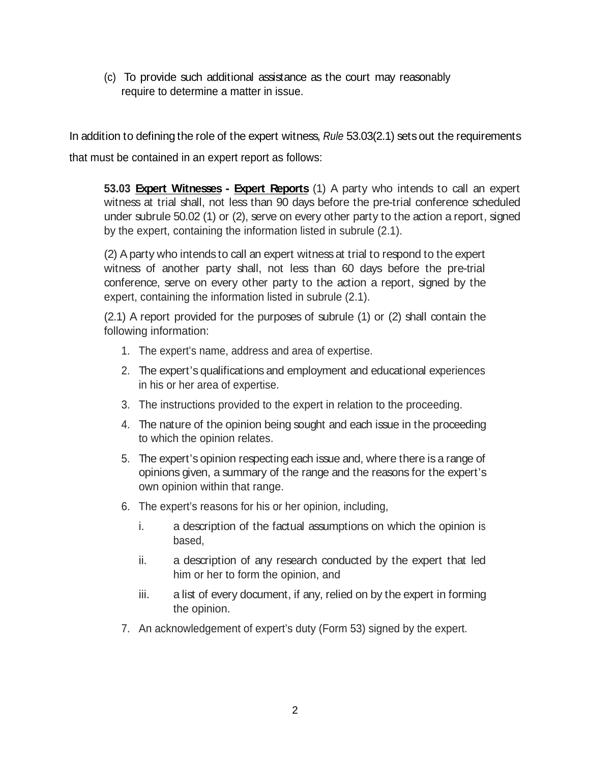(c) To provide such additional assistance as the court may reasonably require to determine a matter in issue.

In addition to defining the role of the expert witness, Rule 53.03(2.1) sets out the requirements that must be contained in an expert report as follows:

**53.03 Expert Witnesses - Expert Reports** (1) A party who intends to call an expert witness at trial shall, not less than 90 days before the pre-trial conference scheduled under subrule 50.02 (1) or (2), serve on every other party to the action a report, signed by the expert, containing the information listed in subrule (2.1).

(2) Aparty who intends to call an expert witnessat trial to respond to the expert witness of another party shall, not less than 60 days before the pre-trial conference, serve on every other party to the action a report, signed by the expert, containing the information listed in subrule (2.1).

(2.1) A report provided for the purposes of subrule (1) or (2) shall contain the following information:

- 1. The expert's name, address and area of expertise.
- 2. The expert's qualifications and employment and educational experiences in his or her area of expertise.
- 3. The instructions provided to the expert in relation to the proceeding.
- 4. The nature of the opinion being sought and each issue in the proceeding to which the opinion relates.
- 5. The expert's opinion respecting each issue and, where there is a range of opinions given, a summary of the range and the reasons for the expert's own opinion within that range.
- 6. The expert's reasons for his or her opinion, including,
	- i. a description of the factual assumptions on which the opinion is based,
	- ii. a description of any research conducted by the expert that led him or her to form the opinion, and
	- iii. a list of every document, if any, relied on by the expert in forming the opinion.
- 7. An acknowledgement of expert's duty (Form 53) signed by the expert.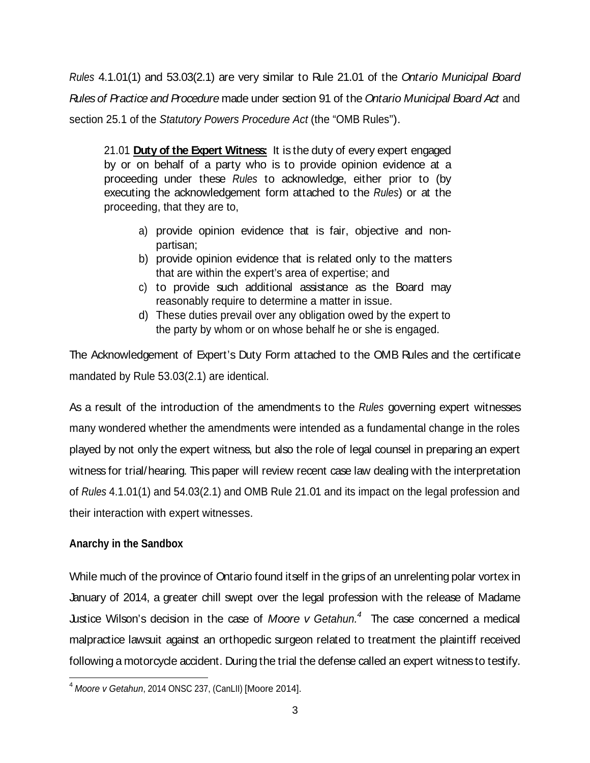Rules 4.1.01(1) and 53.03(2.1) are very similar to Rule 21.01 of the Ontario Municipal Board Rules of Practice and Procedure made under section 91 of the Ontario Municipal Board Act and section 25.1 of the Statutory Powers Procedure Act (the "OMB Rules").

21.01 **Duty of the Expert Witness:** It is the duty of every expert engaged by or on behalf of a party who is to provide opinion evidence at a proceeding under these Rules to acknowledge, either prior to (by executing the acknowledgement form attached to the Rules) or at the proceeding, that they are to,

- a) provide opinion evidence that is fair, objective and non partisan;
- b) provide opinion evidence that is related only to the matters that are within the expert's area of expertise; and
- c) to provide such additional assistance as the Board may reasonably require to determine a matter in issue.
- d) These duties prevail over any obligation owed by the expert to the party by whom or on whose behalf he or she is engaged.

The Acknowledgement of Expert's Duty Form attached to the OMB Rules and the certificate mandated by Rule 53.03(2.1) are identical.

As a result of the introduction of the amendments to the Rules governing expert witnesses many wondered whether the amendments were intended as a fundamental change in the roles played by not only the expert witness, but also the role of legal counsel in preparing an expert witness for trial/hearing. This paper will review recent case law dealing with the interpretation of Rules 4.1.01(1) and 54.03(2.1) and OMB Rule 21.01 and its impact on the legal profession and their interaction with expert witnesses.

### **Anarchy in the Sandbox**

While much of the province of Ontario found itself in the grips of an unrelenting polar vortex in January of 2014, a greater chill swept over the legal profession with the release of Madame Justice Wilson's decision in the case of Moore v Getahun.<sup>4</sup> The case concerned a medical malpractice lawsuit against an orthopedic surgeon related to treatment the plaintiff received following a motorcycle accident. During the trial the defense called an expert witness to testify.

 $4$  Moore v Getahun, 2014 ONSC 237, (CanLII) [Moore 2014].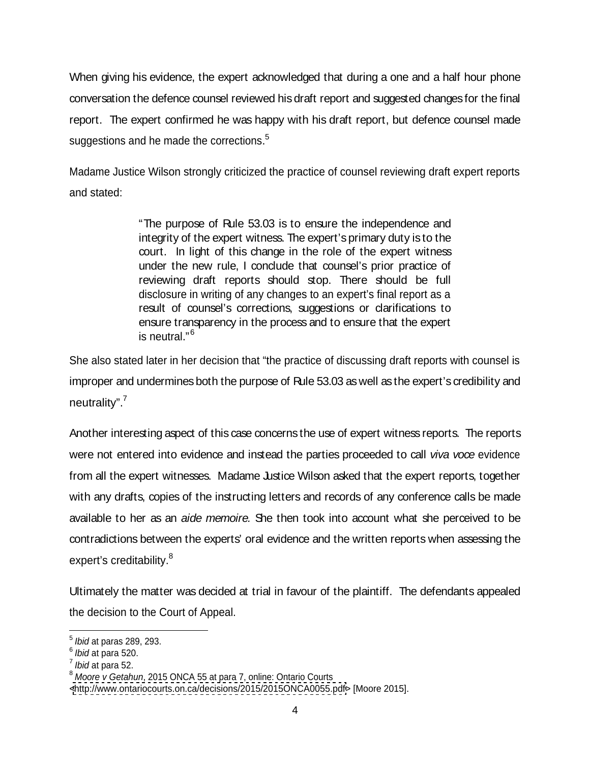When giving his evidence, the expert acknowledged that during a one and a half hour phone conversation the defence counsel reviewed hisdraft report and suggested changes for the final report. The expert confirmed he was happy with his draft report, but defence counsel made suggestions and he made the corrections.<sup>5</sup>

Madame Justice Wilson strongly criticized the practice of counsel reviewing draft expert reports and stated:

> "The purpose of Rule 53.03 is to ensure the independence and integrity of the expert witness. The expert's primary duty is to the court. In light of this change in the role of the expert witness under the new rule, I condude that counsel's prior practice of reviewing draft reports should stop. There should be full disclosure in writing of any changes to an expert's final report as a result of counsel's corrections, suggestions or clarifications to ensure transparency in the process and to ensure that the expert is neutral." $^6$

She also stated later in her decision that "the practice of discussing draft reports with counsel is improper and undermines both the purpose of Rule 53.03 as well as the expert's credibility and neutrality". $\frac{7}{2}$ 

Another interesting aspect of this case concerns the use of expert witness reports. The reports were not entered into evidence and instead the parties proceeded to call viva voce evidence from all the expert witnesses. Madame Justice Wilson asked that the expert reports, together with any drafts, copies of the instructing letters and records of any conference calls be made available to her as an aide memoire. She then took into account what she perceived to be contradictions between the experts' oral evidence and the written reports when assessing the expert's creditability. $^8$ 

Ultimately the matter was decided at trial in favour of the plaintiff. The defendants appealed the decision to the Court of Appeal.

 $\frac{5 \text{ hidden}}{200}$  202  $<sup>5</sup>$  Ibid at paras 289, 293.</sup>

 $6<sup>6</sup>$  third at nore 520  $<sup>6</sup>$  Ibid at para 520.</sup>

 $^7$  thid at nore 52 Ibid at para 52. And the set of the set of the set of the set of the set of the set of the set of the set of the set of the set of the set of the set of the set of the set of the set of the set of the set of the set of the

<sup>&</sup>lt;sup>8</sup> Moore v Getahun, 2015 ONCA 55 at para 7, online: Ontario Courts

[<sup>&</sup>lt;http://www.ontariocourts.on.ca/decisions/2015/2015ONCA0055.pdf>](http://www.ontariocourts.on.ca/decisions/2015/2015ONCA0055.pdf>) [Moore 2015].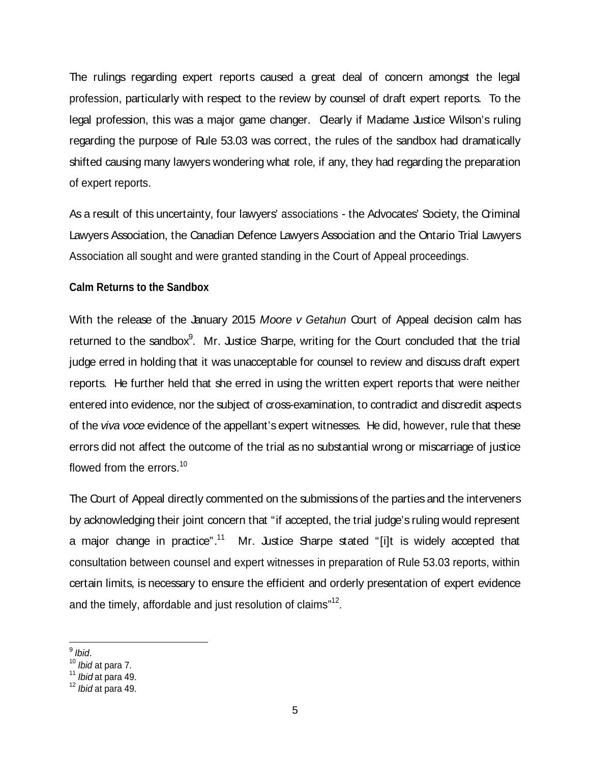The rulings regarding expert reports caused a great deal of concern amongst the legal profession, particularly with respect to the review by counsel of draft expert reports. To the legal profession, this was a major game changer. Clearly if Madame Justice Wilson's ruling regarding the purpose of Rule 53.03 was correct, the rules of the sandbox had dramatically shifted causing many lawyers wondering what role, if any, they had regarding the preparation of expert reports.

As a result of this uncertainty, four lawyers' associations - the Advocates' Society, the Criminal Lawyers Association, the Canadian Defence Lawyers Association and the Ontario Trial Lawyers Association all sought and were granted standing in the Court of Appeal proceedings.

#### **Calm Returns to the Sandbox**

With the release of the January 2015 Moore v Getahun Court of Appeal decision calm has returned to the sandbox<sup>9</sup>. Mr. Justice Sharpe, writing for the Court concluded that the trial judge erred in holding that it was unacceptable for counsel to review and discuss draft expert reports. He further held that she erred in using the written expert reports that were neither entered into evidence, nor the subject of cross-examination, to contradict and discredit aspects of the viva voce evidence of the appellant's expert witnesses. He did, however, rule that these errors did not affect the outcome of the trial as no substantial wrong or miscarriage of justice flowed from the errors. $^{10}$  and the state of the state of the state of the state of the state of the state of the state of the state of the state of the state of the state of the state of the state of the state of the s

The Court of Appeal directly commented on the submissions of the parties and the interveners by acknowledging their joint concern that "if accepted, the trial judge's ruling would represent a major change in practice".<sup>11</sup> Mr. Justice Sharpe stated "[i]t is widely accepted that consultation between counsel and expert witnesses in preparation of Rule 53.03 reports, within certain limits, is necessary to ensure the efficient and orderly presentation of expert evidence and the timely, affordable and just resolution of claims"<sup>12</sup>. .<br>1980 - Paul Barbara, politikar eta espainiar eta espainiar eta espainiar eta espainiar eta espainiar eta espai

 $\frac{9 \text{ hid}}{2}$ Ibid.

 $^{10}$  Ibid at para 7.  $\,$ 

 $^{11}$  *Ibid* at para 49.  $\blacksquare$ 

 $^{12}$  Ibid at para 49.  $\,$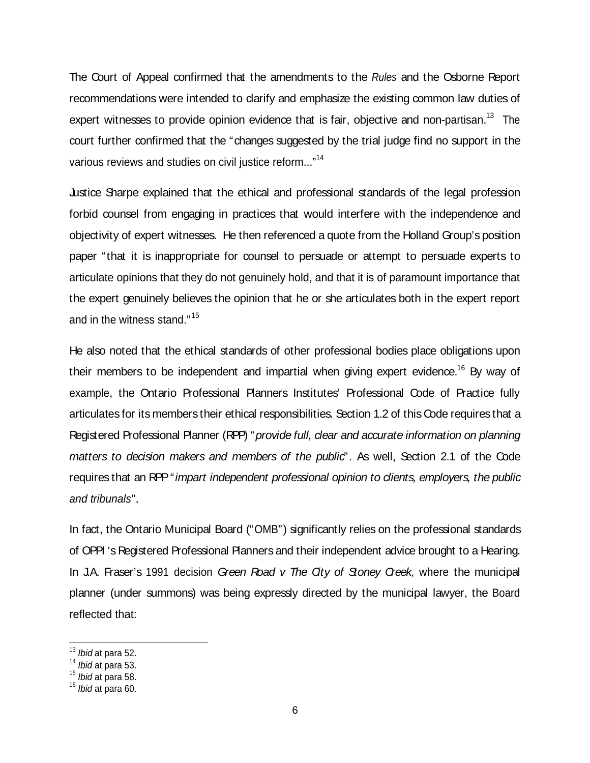The Court of Appeal confirmed that the amendments to the Rules and the Osborne Report recommendations were intended to clarify and emphasize the existing common law duties of expert witnesses to provide opinion evidence that is fair, objective and non-partisan.<sup>13</sup> The court further confirmed that the "changes suggested by the trial judge find no support in the various reviews and studies on civil justice reform..."<sup>14</sup>

Justice Sharpe explained that the ethical and professional standards of the legal profession forbid counsel from engaging in practices that would interfere with the independence and objectivity of expert witnesses. He then referenced a quote from the Holland Group's position paper "that it is inappropriate for counsel to persuade or attempt to persuade experts to articulate opinions that they do not genuinely hold, and that it is of paramount importance that the expert genuinely believes the opinion that he or she articulates both in the expert report and in the witness stand." $15$ 

He also noted that the ethical standards of other professional bodies place obligations upon their members to be independent and impartial when giving expert evidence.<sup>16</sup> By way of example, the Ontario Professional Planners Institutes' Professional Code of Practice fully articulates for its members their ethical responsibilities. Section 1.2 of this Code requires that a Registered Professional Planner (RPP) "provide full, clear and accurate information on planning matters to decision makers and members of the public<sup>"</sup>. As well, Section 2.1 of the Code requires that an RPP "impart independent professional opinion to clients, employers, the public and tribunals".

In fact, the Ontario Municipal Board ("OMB") significantly relies on the professional standards of OPPI 's Registered Professional Planners and their independent advice brought to a Hearing. In J.A. Fraser's 1991 decision Green Road  $v$  The City of Stoney Creek, where the municipal planner (under summons) was being expressly directed by the municipal lawyer, the Board reflected that:

 $\frac{13}{13}$  *lbid* at para 52.

 $^{14}$  Ibid at para 53.  $\,$ 

 $^{15}$  *lbid* at para 58.  $\blacksquare$ 

 $^{16}$  *Ibid* at para 60.  $\blacksquare$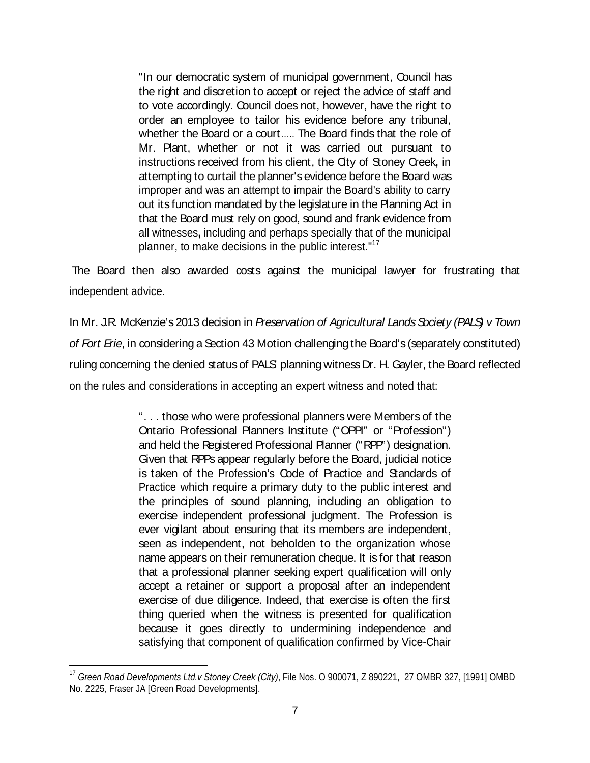"In our democratic system of municipal government, Council has the right and discretion to accept or reject the advice of staff and to vote accordingly. Council does not, however, have the right to order an employee to tailor his evidence before any tribunal, whether the Board or a court….. The Board finds that the role of Mr. Plant, whether or not it was carried out pursuant to instructions received from his client, the City of Stoney Creek**,** in attempting to curtail the planner'sevidence before the Board was improper and was an attempt to impair the Board's ability to carry out its function mandated by the legislature in the Planning Act in that the Board must rely on good, sound and frank evidence from all witnesses**,** including and perhaps specially that of the municipal planner, to make decisions in the public interest."<sup>17</sup>

The Board then also awarded costs against the municipal lawyer for frustrating that independent advice.

In Mr. J.R. McKenzie's 2013 decision in Preservation of Agricultural Lands Society (PALS) v Town of Fort Erie, in considering a Section 43 Motion challenging the Board's (separately constituted) ruling concerning the denied status of PALS planning witness Dr. H. Gayler, the Board reflected on the rules and considerations in accepting an expert witness and noted that:

> ". . . those who were professional planners were Members of the Ontario Professional Planners Institute ("OPPI" or "Profession") and held the Registered Professional Planner ("RPP") designation. Given that RPPs appear regularly before the Board, judicial notice is taken of the Profession's Code of Practice and Standards of Practice which require a primary duty to the public interest and the principles of sound planning, including an obligation to exercise independent professional judgment. The Profession is ever vigilant about ensuring that its members are independent, seen as independent, not beholden to the organization whose name appears on their remuneration cheque. It is for that reason that a professional planner seeking expert qualification will only accept a retainer or support a proposal after an independent exercise of due diligence. Indeed, that exercise is often the first thing queried when the witness is presented for qualification because it goes directly to undermining independence and satisfying that component of qualification confirmed by Vice-Chair

<sup>&</sup>lt;sup>17</sup> Green Road Developments Ltd.v Stoney Creek (City), File Nos. O 900071, Z 890221, 27 OMBR 327, [1991] OMBD No. 2225, Fraser JA [Green Road Developments].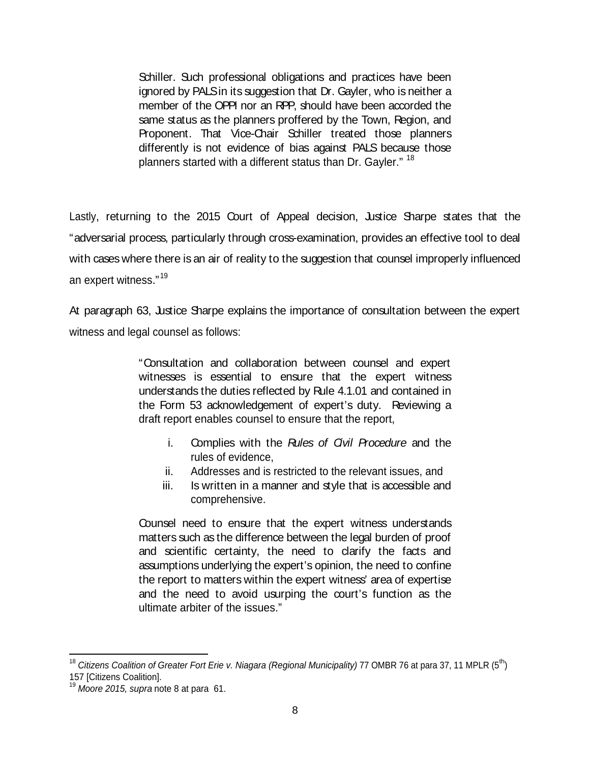Schiller. Such professional obligations and practices have been ignored by PALSin its suggestion that Dr. Gayler, who is neither a member of the OPPI nor an RPP, should have been accorded the same status as the planners proffered by the Town, Region, and Proponent. That Vice-Chair Schiller treated those planners differently is not evidence of bias against PALS because those planners started with a different status than Dr. Gayler." <sup>18</sup>

Lastly, returning to the 2015 Court of Appeal decision, Justice Sharpe states that the "adversarial process, particularly through cross-examination, provides an effective tool to deal with cases where there is an air of reality to the suggestion that counsel improperly influenced an expert witness." $^{19}$ 

At paragraph 63, Justice Sharpe explains the importance of consultation between the expert witness and legal counsel as follows:

> "Consultation and collaboration between counsel and expert witnesses is essential to ensure that the expert witness understands the duties reflected by Rule 4.1.01 and contained in the Form 53 acknowledgement of expert's duty. Reviewing a draft report enables counsel to ensure that the report,

- i. Complies with the Rules of *Civil Procedure* and the rules of evidence,
- ii. Addresses and is restricted to the relevant issues, and
- iii. Is written in a manner and style that is accessible and comprehensive.

Counsel need to ensure that the expert witness understands matters such as the difference between the legal burden of proof and scientific certainty, the need to clarify the facts and assumptions underlying the expert's opinion, the need to confine the report to matters within the expert witness' area of expertise and the need to avoid usurping the court's function as the ultimate arbiter of the issues."

<sup>&</sup>lt;sup>18</sup> Citizens Coalition of Greater Fort Erie v. Niagara (Regional Municipality) 77 OMBR 76 at para 37, 11 MPLR (5<sup>th</sup>) 157 [Citizens Coalition].

 $19$  Moore 2015, supra note 8 at para 61.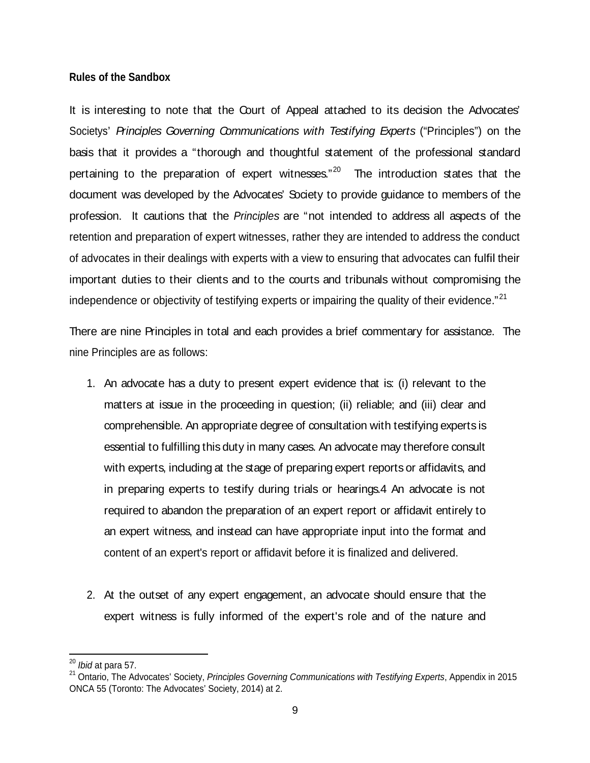#### **Rules of the Sandbox**

It is interesting to note that the Court of Appeal attached to its decision the Advocates' Societys' Principles Governing Communications with Testifying Experts ("Principles") on the basis that it provides a "thorough and thoughtful statement of the professional standard pertaining to the preparation of expert witnesses."<sup>20</sup> The introduction states that the document was developed by the Advocates' Society to provide guidance to members of the profession. It cautions that the Principles are "not intended to address all aspects of the retention and preparation of expert witnesses, rather they are intended to address the conduct of advocates in their dealings with experts with a view to ensuring that advocates can fulfil their important duties to their clients and to the courts and tribunals without compromising the independence or objectivity of testifying experts or impairing the quality of their evidence." $^{21}$ 

There are nine Principles in total and each provides a brief commentary for assistance. The nine Principles are as follows:

- 1. An advocate has a duty to present expert evidence that is: (i) relevant to the matters at issue in the proceeding in question; (ii) reliable; and (iii) clear and comprehensible. An appropriate degree of consultation with testifying expertsis essential to fulfilling this duty in many cases. An advocate may therefore consult with experts, including at the stage of preparing expert reports or affidavits, and in preparing experts to testify during trials or hearings.4 An advocate is not required to abandon the preparation of an expert report or affidavit entirely to an expert witness, and instead can have appropriate input into the format and content of an expert's report or affidavit before it is finalized and delivered.
- 2. At the outset of any expert engagement, an advocate should ensure that the expert witness is fully informed of the expert's role and of the nature and

 $^{20}$  *lbid* at para 57.

<sup>&</sup>lt;sup>21</sup> Ontario, The Advocates' Society, Principles Governing Communications with Testifying Experts, Appendix in 2015 ONCA 55 (Toronto: The Advocates' Society, 2014) at 2.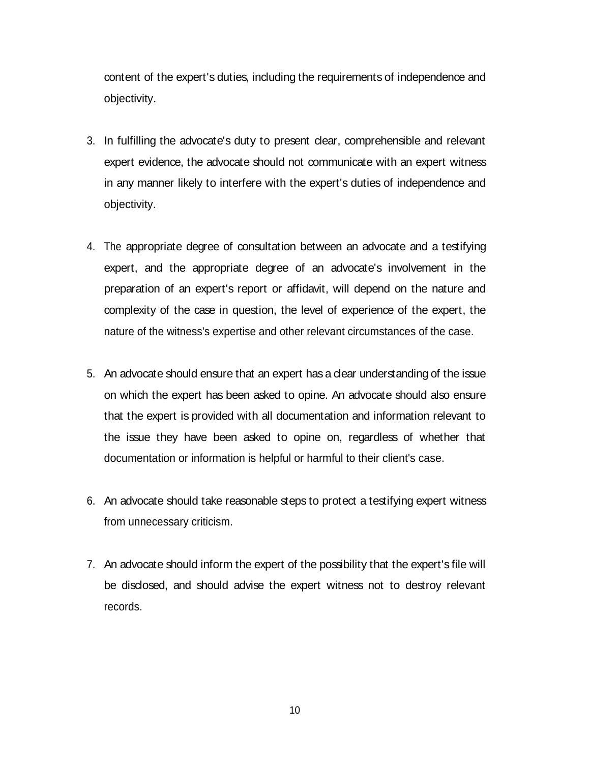content of the expert's duties, including the requirements of independence and objectivity.

- 3. In fulfilling the advocate's duty to present clear, comprehensible and relevant expert evidence, the advocate should not communicate with an expert witness in any manner likely to interfere with the expert's duties of independence and objectivity.
- 4. The appropriate degree of consultation between an advocate and a testifying expert, and the appropriate degree of an advocate's involvement in the preparation of an expert's report or affidavit, will depend on the nature and complexity of the case in question, the level of experience of the expert, the nature of the witness's expertise and other relevant circumstances of the case.
- 5. An advocate should ensure that an expert has a clear understanding of the issue on which the expert has been asked to opine. An advocate should also ensure that the expert is provided with all documentation and information relevant to the issue they have been asked to opine on, regardless of whether that documentation or information is helpful or harmful to their client's case.
- 6. An advocate should take reasonable steps to protect a testifying expert witness from unnecessary criticism.
- 7. An advocate should inform the expert of the possibility that the expert's file will be disclosed, and should advise the expert witness not to destroy relevant records.

10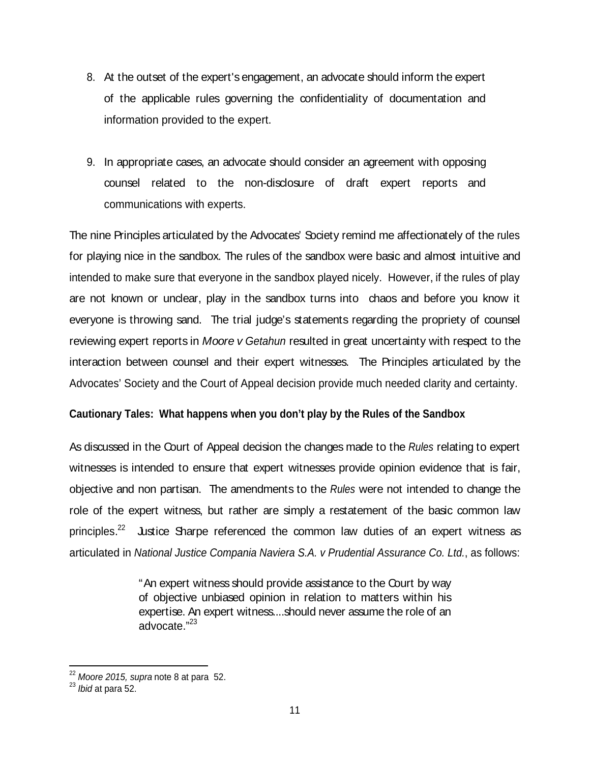- 8. At the outset of the expert's engagement, an advocate should inform the expert of the applicable rules governing the confidentiality of documentation and information provided to the expert.
- 9. In appropriate cases, an advocate should consider an agreement with opposing counsel related to the non-disclosure of draft expert reports and communications with experts.

The nine Principles articulated by the Advocates' Society remind me affectionately of the rules for playing nice in the sandbox. The rules of the sandbox were basic and almost intuitive and intended to make sure that everyone in the sandbox played nicely. However, if the rules of play are not known or undear, play in the sandbox turns into chaos and before you know it everyone is throwing sand. The trial judge's statements regarding the propriety of counsel reviewing expert reports in *Moore v Getahun* resulted in great uncertainty with respect to the interaction between counsel and their expert witnesses. The Principles articulated by the Advocates' Society and the Court of Appeal decision provide much needed clarity and certainty.

#### **Cautionary Tales: What happens when you don't play by the Rules of the Sandbox**

As discussed in the Court of Appeal decision the changes made to the Rules relating to expert witnesses is intended to ensure that expert witnesses provide opinion evidence that is fair, objective and non partisan. The amendments to the Rules were not intended to change the role of the expert witness, but rather are simply a restatement of the basic common law principles.<sup>22</sup> Justice Sharpe referenced the common law duties of an expert witness as articulated in National Justice Compania Naviera S.A. v Prudential Assurance Co. Ltd., as follows:

> "An expert witness should provide assistance to the Court by way of objective unbiased opinion in relation to matters within his expertise. An expert witness....should never assume the role of an advocate." $^{23}$

 $\frac{22}{2}$  Moore 2015, supra note 8 at para 52.

 $^{23}$  *Ibid* at para 52.  $\hphantom{1}$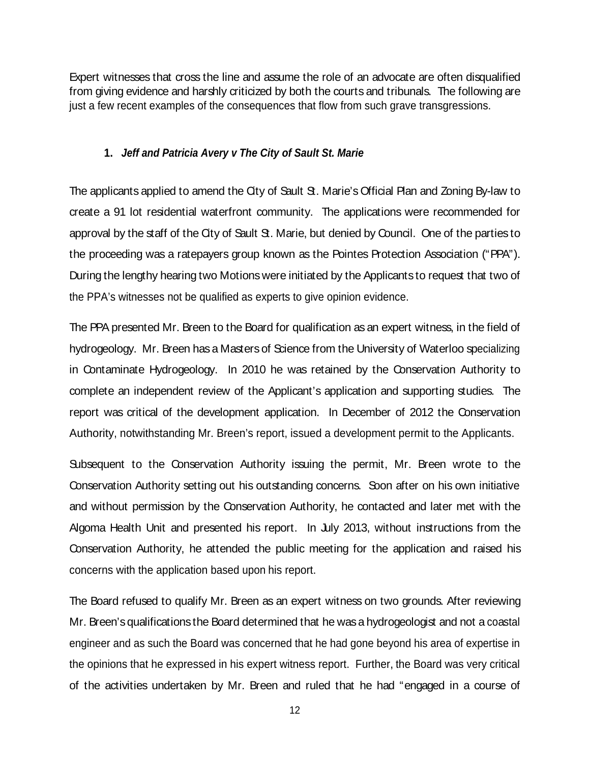Expert witnesses that cross the line and assume the role of an advocate are often disqualified from giving evidence and harshly criticized by both the courts and tribunals. The following are just a few recent examples of the consequences that flow from such grave transgressions.

#### **1. Jeff and Patricia Avery v The City of Sault St. Marie**

The applicants applied to amend the City of Sault St. Marie's Official Plan and Zoning By-law to create a 91 lot residential waterfront community. The applications were recommended for approval by the staff of the City of Sault St. Marie, but denied by Council. One of the parties to the proceeding was a ratepayers group known as the Pointes Protection Association ("PPA"). During the lengthy hearing two Motions were initiated by the Applicants to request that two of the PPA's witnesses not be qualified as experts to give opinion evidence.

The PPA presented Mr. Breen to the Board for qualification as an expert witness, in the field of hydrogeology. Mr. Breen has a Masters of Science from the University of Waterloo specializing in Contaminate Hydrogeology. In 2010 he was retained by the Conservation Authority to complete an independent review of the Applicant's application and supporting studies. The report was critical of the development application. In December of 2012 the Conservation Authority, notwithstanding Mr. Breen's report, issued a development permit to the Applicants.

Subsequent to the Conservation Authority issuing the permit, Mr. Breen wrote to the Conservation Authority setting out his outstanding concerns. Soon after on his own initiative and without permission by the Conservation Authority, he contacted and later met with the Algoma Health Unit and presented his report. In July 2013, without instructions from the Conservation Authority, he attended the public meeting for the application and raised his concerns with the application based upon his report.

The Board refused to qualify Mr. Breen as an expert witness on two grounds. After reviewing Mr. Breen's qualifications the Board determined that he was a hydrogeologist and not a coastal engineer and as such the Board was concerned that he had gone beyond his area of expertise in the opinions that he expressed in his expert witness report. Further, the Board was very critical of the activities undertaken by Mr. Breen and ruled that he had "engaged in a course of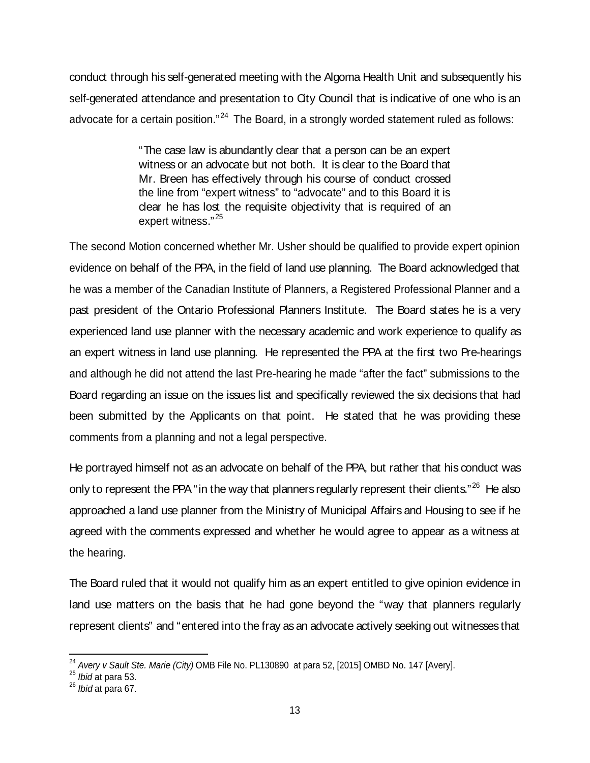conduct through his self-generated meeting with the Algoma Health Unit and subsequently his self-generated attendance and presentation to City Council that is indicative of one who is an advocate for a certain position."<sup>24</sup> The Board, in a strongly worded statement ruled as follows:

> "The case law is abundantly clear that a person can be an expert witness or an advocate but not both. It is clear to the Board that Mr. Breen has effectively through his course of conduct crossed the line from "expert witness" to "advocate" and to this Board it is clear he has lost the requisite objectivity that is required of an expert witness." $^{25}$

The second Motion concerned whether Mr. Usher should be qualified to provide expert opinion evidence on behalf of the PPA, in the field of land use planning. The Board acknowledged that he was a member of the Canadian Institute of Planners, a Registered Professional Planner and a past president of the Ontario Professional Planners Institute. The Board states he is a very experienced land use planner with the necessary academic and work experience to qualify as an expert witness in land use planning. He represented the PPA at the first two Pre-hearings and although he did not attend the last Pre-hearing he made "after the fact" submissions to the Board regarding an issue on the issues list and specifically reviewed the six decisions that had been submitted by the Applicants on that point. He stated that he was providing these comments from a planning and not a legal perspective.

He portrayed himself not as an advocate on behalf of the PPA, but rather that his conduct was only to represent the PPA "in the way that planners regularly represent their dients."<sup>26</sup> He also approached a land use planner from the Ministry of Municipal Affairs and Housing to see if he agreed with the comments expressed and whether he would agree to appear as a witness at the hearing.

The Board ruled that it would not qualify him as an expert entitled to give opinion evidence in land use matters on the basis that he had gone beyond the "way that planners regularly represent clients" and "entered into the fray asan advocate actively seeking out witnesses that

<sup>&</sup>lt;sup>24</sup> Avery v Sault Ste. Marie (City) OMB File No. PL130890 at para 52, [2015] OMBD No. 147 [Avery].<br><sup>25</sup> Ibid at para 53.

 $^{25}$  *lbid* at para 53.  $\blacksquare$ 

 $^{26}$  *Ibid* at para 67.  $\blacksquare$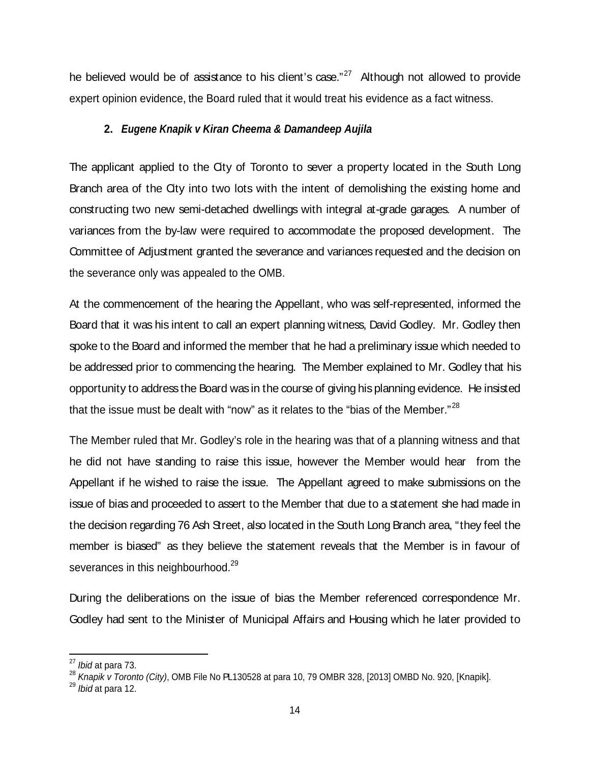he believed would be of assistance to his dient's case."<sup>27</sup> Although not allowed to provide expert opinion evidence, the Board ruled that it would treat his evidence as a fact witness.

#### **2. Eugene Knapik v Kiran Cheema & Damandeep Aujila**

The applicant applied to the City of Toronto to sever a property located in the South Long Branch area of the City into two lots with the intent of demolishing the existing home and constructing two new semi-detached dwellings with integral at-grade garages. A number of variances from the by-law were required to accommodate the proposed development. The Committee of Adjustment granted the severance and variances requested and the decision on the severance only was appealed to the OMB.

At the commencement of the hearing the Appellant, who was self-represented, informed the Board that it was his intent to call an expert planning witness, David Godley. Mr. Godley then spoke to the Board and informed the member that he had a preliminary issue which needed to be addressed prior to commencing the hearing. The Member explained to Mr. Godley that his opportunity to address the Board was in the course of giving hisplanning evidence. He insisted that the issue must be dealt with "now" as it relates to the "bias of the Member."<sup>28</sup>

The Member ruled that Mr. Godley's role in the hearing was that of a planning witness and that he did not have standing to raise this issue, however the Member would hear from the Appellant if he wished to raise the issue. The Appellant agreed to make submissions on the issue of bias and proceeded to assert to the Member that due to a statement she had made in the decision regarding 76 Ash Street, also located in the South Long Branch area, "they feel the member is biased" as they believe the statement reveals that the Member is in favour of severances in this neighbourhood.<sup>29</sup>

During the deliberations on the issue of bias the Member referenced correspondence Mr. Godley had sent to the Minister of Municipal Affairs and Housing which he later provided to

 $\frac{27}{27}$  Ibid at para 73.

<sup>&</sup>lt;sup>28</sup> Knapik v Toronto (City), OMB File No PL130528 at para 10, 79 OMBR 328, [2013] OMBD No. 920, [Knapik].<br><sup>29</sup> Ibid at para 12.

 $^{29}$  *Ibid* at para 12.  $\hspace{0.5cm}$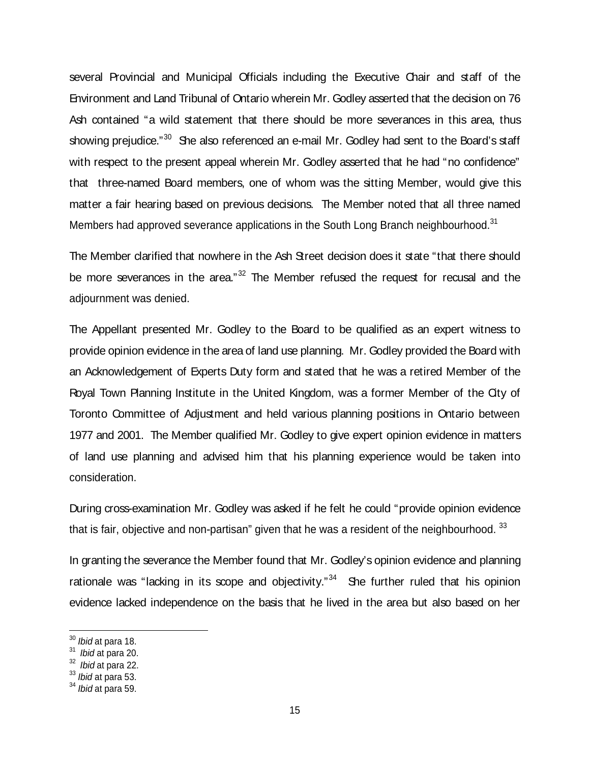several Provincial and Municipal Officials including the Executive Chair and staff of the Environment and Land Tribunal of Ontario wherein Mr. Godley asserted that the decision on 76 Ash contained "a wild statement that there should be more severances in this area, thus showing prejudice."<sup>30</sup> She also referenced an e-mail Mr. Godley had sent to the Board's staff with respect to the present appeal wherein Mr. Godley asserted that he had "no confidence" that three-named Board members, one of whom was the sitting Member, would give this matter a fair hearing based on previous decisions. The Member noted that all three named Members had approved severance applications in the South Long Branch neighbourhood.<sup>31</sup>

The Member clarified that nowhere in the Ash Street decision does it state "that there should be more severances in the area."<sup>32</sup> The Member refused the request for recusal and the adjournment was denied.

The Appellant presented Mr. Godley to the Board to be qualified as an expert witness to provide opinion evidence in the area of land use planning. Mr. Godley provided the Board with an Acknowledgement of Experts Duty form and stated that he was a retired Member of the Royal Town Planning Institute in the United Kingdom, was a former Member of the City of Toronto Committee of Adjustment and held various planning positions in Ontario between 1977 and 2001. The Member qualified Mr. Godley to give expert opinion evidence in matters of land use planning and advised him that his planning experience would be taken into consideration.

During cross-examination Mr. Godley was asked if he felt he could "provide opinion evidence that is fair, objective and non-partisan" given that he was a resident of the neighbourhood.  $33$ 

In granting the severance the Member found that Mr. Godley's opinion evidence and planning rationale was "lacking in its scope and objectivity." $34$  She further ruled that his opinion evidence lacked independence on the basis that he lived in the area but also based on her

 $30$  *Ibid* at para 18.

 $31$  Ibid at para 20.

 $32$  Ibid at para 22.  $\blacksquare$ 

 $^{33}$  *lbid* at para 53.  $\blacksquare$ 

 $^{34}$  *Ibid* at para 59.  $\blacksquare$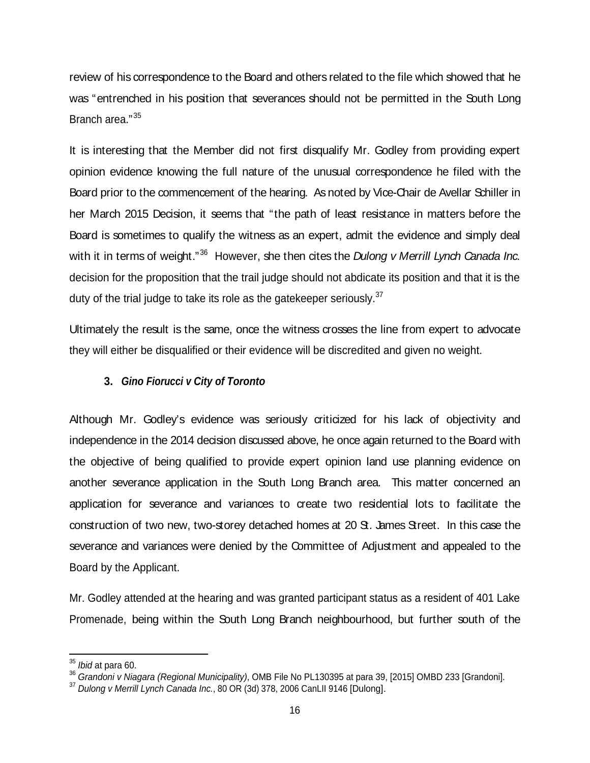review of his correspondence to the Board and others related to the file which showed that he was "entrenched in his position that severances should not be permitted in the South Long Branch area." $^{35}$ 

It is interesting that the Member did not first disqualify Mr. Godley from providing expert opinion evidence knowing the full nature of the unusual correspondence he filed with the Board prior to the commencement of the hearing. As noted by Vice-Chair de Avellar Schiller in her March 2015 Decision, it seems that "the path of least resistance in matters before the Board is sometimes to qualify the witness as an expert, admit the evidence and simply deal with it in terms of weight." $36$  However, she then cites the Dulong v Merrill Lynch Canada Inc. decision for the proposition that the trail judge should not abdicate its position and that it is the duty of the trial judge to take its role as the gatekeeper seriously.<sup>37</sup>

Ultimately the result is the same, once the witness crosses the line from expert to advocate they will either be disqualified or their evidence will be discredited and given no weight.

#### **3. Gino Fiorucci v City of Toronto**

Although Mr. Godley's evidence was seriously criticized for his lack of objectivity and independence in the 2014 decision discussed above, he once again returned to the Board with the objective of being qualified to provide expert opinion land use planning evidence on another severance application in the South Long Branch area. This matter concerned an application for severance and variances to create two residential lots to facilitate the construction of two new, two-storey detached homes at 20 St. James Street. In this case the severance and variances were denied by the Committee of Adjustment and appealed to the Board by the Applicant.

Mr. Godley attended at the hearing and was granted participant status as a resident of 401 Lake Promenade, being within the South Long Branch neighbourhood, but further south of the

 $35$  *Ibid* at para 60.

<sup>&</sup>lt;sup>36</sup> Grandoni v Niagara (Regional Municipality), OMB File No PL130395 at para 39, [2015] OMBD 233 [Grandoni].

<sup>&</sup>lt;sup>37</sup> Dulong v Merrill Lynch Canada Inc., 80 OR (3d) 378, 2006 CanLII 9146 [Dulong].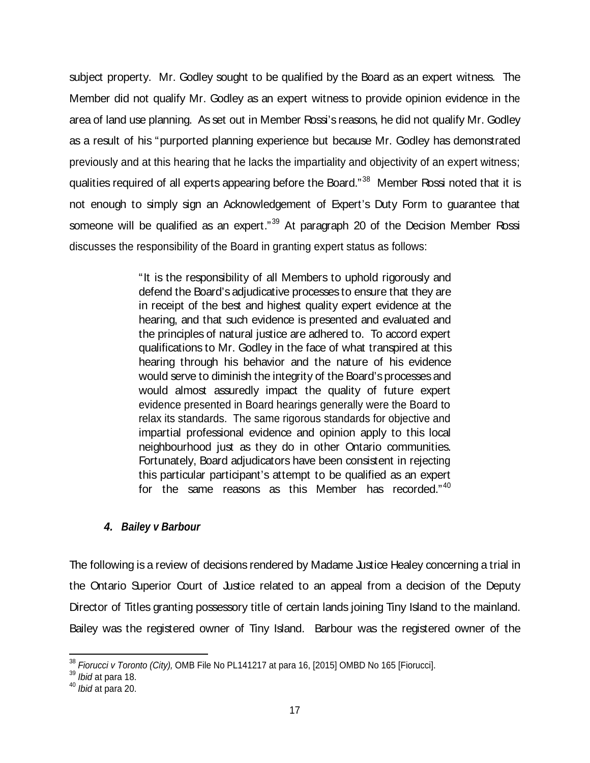subject property. Mr. Godley sought to be qualified by the Board as an expert witness. The Member did not qualify Mr. Godley as an expert witness to provide opinion evidence in the area of land use planning. As set out in Member Rossi's reasons, he did not qualify Mr. Godley as a result of his "purported planning experience but because Mr. Godley has demonstrated previously and at this hearing that he lacks the impartiality and objectivity of an expert witness; qualities required of all experts appearing before the Board."<sup>38</sup> Member Rossi noted that it is not enough to simply sign an Acknowledgement of Expert's Duty Form to guarantee that someone will be qualified as an expert."<sup>39</sup> At paragraph 20 of the Decision Member Rossi discusses the responsibility of the Board in granting expert status as follows:

> "It is the responsibility of all Members to uphold rigorously and defend the Board's adjudicative processes to ensure that they are in receipt of the best and highest quality expert evidence at the hearing, and that such evidence is presented and evaluated and the principles of natural justice are adhered to. To accord expert qualifications to Mr. Godley in the face of what transpired at this hearing through his behavior and the nature of his evidence would serve to diminish the integrity of the Board's processes and would almost assuredly impact the quality of future expert evidence presented in Board hearings generally were the Board to relax its standards. The same rigorous standards for objective and impartial professional evidence and opinion apply to this local neighbourhood just as they do in other Ontario communities. Fortunately, Board adjudicators have been consistent in rejecting this particular participant's attempt to be qualified as an expert for the same reasons as this Member has recorded."<sup>40</sup>

#### **4. Bailey v Barbour**

The following is a review of decisions rendered by Madame Justice Healey concerning a trial in the Ontario Superior Court of Justice related to an appeal from a decision of the Deputy Director of Titles granting possessory title of certain lands joining Tiny Island to the mainland. Bailey was the registered owner of Tiny Island. Barbour was the registered owner of the

 $38$  Fiorucci v Toronto (City), OMB File No PL141217 at para 16, [2015] OMBD No 165 [Fiorucci].<br> $39$  lbid at para 18.

 $^{39}$  *Ibid* at para 18.  $\hspace{150pt}$ 

 $^{40}$  *Ibid* at para 20.  $\hphantom{a}$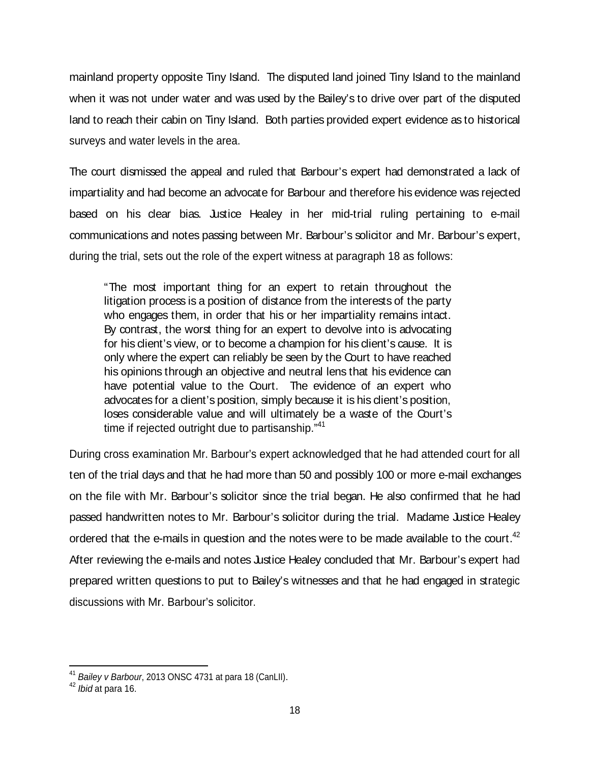mainland property opposite Tiny Island. The disputed land joined Tiny Island to the mainland when it was not under water and was used by the Bailey's to drive over part of the disputed land to reach their cabin on Tiny Island. Both parties provided expert evidence as to historical surveys and water levels in the area.

The court dismissed the appeal and ruled that Barbour's expert had demonstrated a lack of impartiality and had become an advocate for Barbour and therefore his evidence was rejected based on his clear bias. Justice Healey in her mid-trial ruling pertaining to e-mail communications and notes passing between Mr. Barbour's solicitor and Mr. Barbour's expert, during the trial, sets out the role of the expert witness at paragraph 18 as follows:

"The most important thing for an expert to retain throughout the litigation process is a position of distance from the interests of the party who engages them, in order that his or her impartiality remains intact. By contrast, the worst thing for an expert to devolve into is advocating for his client's view, or to become a champion for his client's cause. It is only where the expert can reliably be seen by the Court to have reached his opinions through an objective and neutral lens that his evidence can have potential value to the Court. The evidence of an expert who advocates for a dient's position, simply because it is his dient's position, loses considerable value and will ultimately be a waste of the Court's time if rejected outright due to partisanship."<sup>41</sup>

During cross examination Mr. Barbour's expert acknowledged that he had attended court for all ten of the trial days and that he had more than 50 and possibly 100 or more e-mail exchanges on the file with Mr. Barbour's solicitor since the trial began. He also confirmed that he had passed handwritten notes to Mr. Barbour's solicitor during the trial. Madame Justice Healey ordered that the e-mails in question and the notes were to be made available to the court.<sup>42</sup> After reviewing the e-mails and notes Justice Healey concluded that Mr. Barbour's expert had prepared written questions to put to Bailey's witnesses and that he had engaged in strategic discussions with Mr. Barbour's solicitor.

 $^{41}$  *Bailey v Barbour*, 2013 ONSC 4731 at para 18 (CanLII).

 $^{42}$  *lbid* at para 16.  $\hspace{0.5cm}$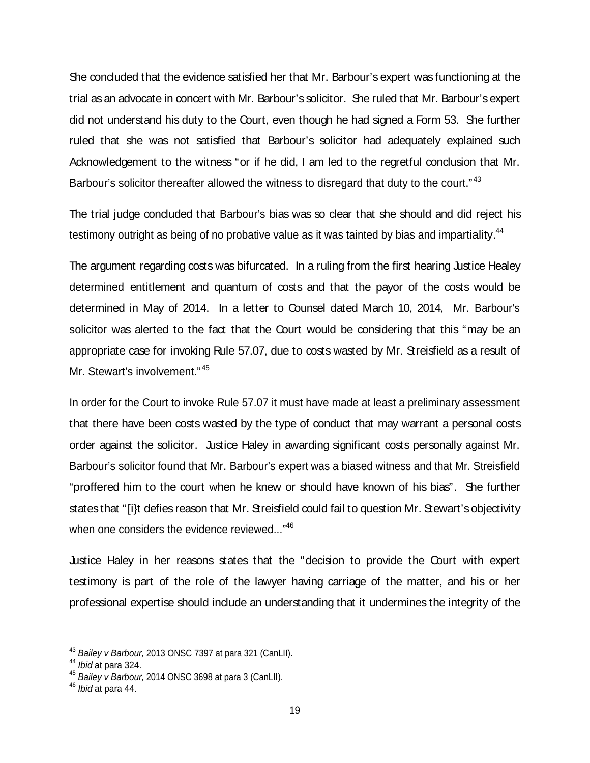She concluded that the evidence satisfied her that Mr. Barbour's expert was functioning at the trial asan advocate in concert with Mr. Barbour's solicitor. She ruled that Mr. Barbour'sexpert did not understand his duty to the Court, even though he had signed a Form 53. She further ruled that she was not satisfied that Barbour's solicitor had adequately explained such Acknowledgement to the witness "or if he did, I am led to the regretful conclusion that Mr. Barbour's solicitor thereafter allowed the witness to disregard that duty to the court."<sup>43</sup>

The trial judge concluded that Barbour's bias was so clear that she should and did reject his testimony outright as being of no probative value as it was tainted by bias and impartiality.<sup>44</sup>

The argument regarding costs was bifurcated. In a ruling from the first hearing Justice Healey determined entitlement and quantum of costs and that the payor of the costs would be determined in May of 2014. In a letter to Counsel dated March 10, 2014, Mr. Barbour's solicitor was alerted to the fact that the Court would be considering that this "may be an appropriate case for invoking Rule 57.07, due to costs wasted by Mr. Streisfield as a result of Mr. Stewart's involvement."<sup>45</sup>

In order for the Court to invoke Rule 57.07 it must have made at least a preliminary assessment that there have been costs wasted by the type of conduct that may warrant a personal costs order against the solicitor. Justice Haley in awarding significant costs personally against Mr. Barbour's solicitor found that Mr. Barbour's expert was a biased witness and that Mr. Streisfield "proffered him to the court when he knew or should have known of his bias". She further states that "[i]t defies reason that Mr. Streisfield could fail to question Mr. Stewart's objectivity when one considers the evidence reviewed..."<sup>46</sup>

Justice Haley in her reasons states that the "decision to provide the Court with expert testimony is part of the role of the lawyer having carriage of the matter, and his or her professional expertise should include an understanding that it undermines the integrity of the

 $^{43}$  Bailey v Barbour, 2013 ONSC 7397 at para 321 (CanLII).<br> $^{44}$  Ibid at para 324.

 $^{44}$  *Ibid* at para 324.  $\,$ 

 $^{45}$  Bailey v Barbour, 2014 ONSC 3698 at para 3 (CanLII).<br> $^{46}$  Ibid at para 44.

 $^{46}$  *lbid* at para 44.  $\,$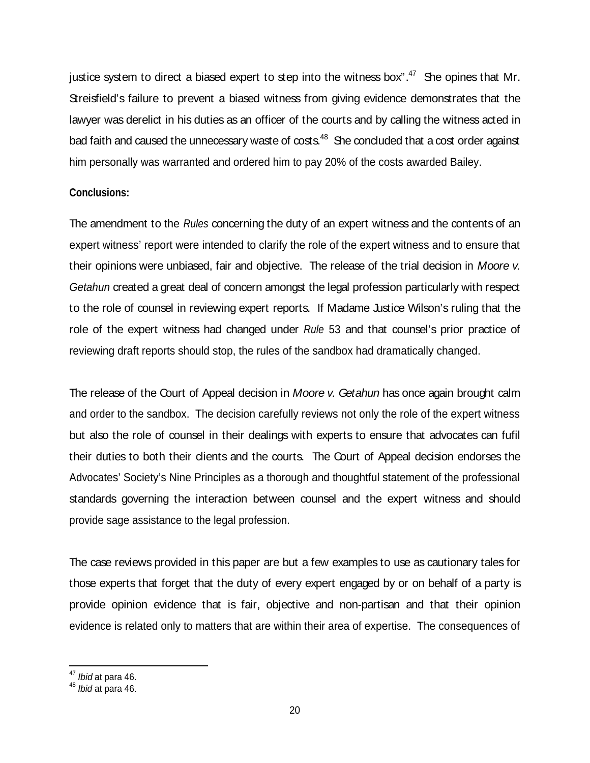justice system to direct a biased expert to step into the witness box". $47$  She opines that Mr. Streisfield's failure to prevent a biased witness from giving evidence demonstrates that the lawyer was derelict in his duties as an officer of the courts and by calling the witness acted in bad faith and caused the unnecessary waste of  $\cos s^{48}$  She concluded that a cost order against him personally was warranted and ordered him to pay 20% of the costs awarded Bailey.

#### **Conclusions:**

The amendment to the *Rules* concerning the duty of an expert witness and the contents of an expert witness' report were intended to clarify the role of the expert witness and to ensure that their opinions were unbiased, fair and objective. The release of the trial decision in Moore v. Getahun created a great deal of concern amongst the legal profession particularly with respect to the role of counsel in reviewing expert reports. If Madame Justice Wilson's ruling that the role of the expert witness had changed under Rule 53 and that counsel's prior practice of reviewing draft reports should stop, the rules of the sandbox had dramatically changed.

The release of the Court of Appeal decision in Moore v. Getahun has once again brought calm and order to the sandbox. The decision carefully reviews not only the role of the expert witness but also the role of counsel in their dealings with experts to ensure that advocates can fufil their duties to both their clients and the courts. The Court of Appeal decision endorses the Advocates' Society's Nine Principles as a thorough and thoughtful statement of the professional standards governing the interaction between counsel and the expert witness and should provide sage assistance to the legal profession.

The case reviews provided in this paper are but a few examples to use as cautionary tales for those experts that forget that the duty of every expert engaged by or on behalf of a party is provide opinion evidence that is fair, objective and non-partisan and that their opinion evidence is related only to matters that are within their area of expertise. The consequences of

 $\frac{47}{10}$ ibid at para 46.

 $^{48}$  *lbid* at para 46.  $\,$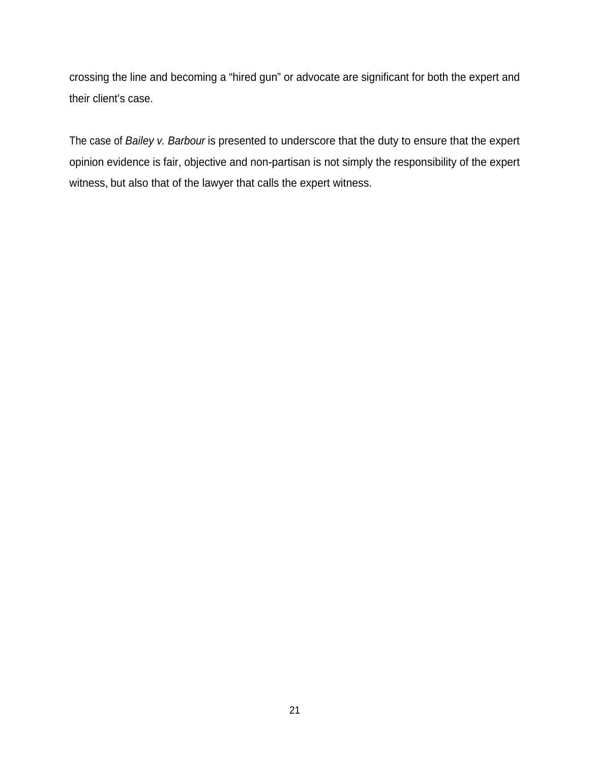crossing the line and becoming a "hired gun" or advocate are significant for both the expert and their client's case.

The case of Bailey v. Barbour is presented to underscore that the duty to ensure that the expert opinion evidence is fair, objective and non-partisan is not simply the responsibility of the expert witness, but also that of the lawyer that calls the expert witness.